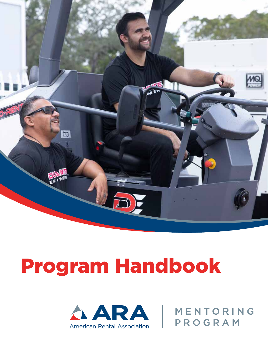

# Program Handbook



| MENTORING PROGRAM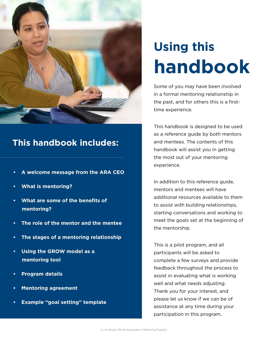

### **This handbook includes:**

- **A welcome message from the ARA CEO**
- **What is mentoring?**
- **What are some of the benefits of mentoring?**
- **The role of the mentor and the mentee**
- **The stages of a mentoring relationship**
- **Using the GROW model as a mentoring tool**
- **Program details**
- **Mentoring agreement**
- **Example "goal setting" template**

# **Using this handbook**

Some of you may have been involved in a formal mentoring relationship in the past, and for others this is a firsttime experience.

This handbook is designed to be used as a reference guide by both mentors and mentees. The contents of this handbook will assist you in getting the most out of your mentoring experience.

In addition to this reference guide, mentors and mentees will have additional resources available to them to assist with building relationships, starting conversations and working to meet the goals set at the beginning of the mentorship.

This is a pilot program, and all participants will be asked to complete a few surveys and provide feedback throughout the process to assist in evaluating what is working well and what needs adjusting. Thank you for your interest, and please let us know if we can be of assistance at any time during your participation in this program.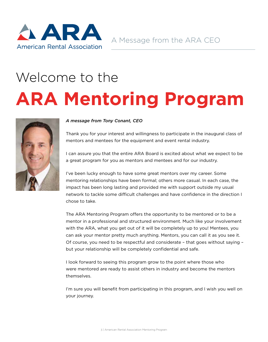

# Welcome to the **ARA Mentoring Program**



#### *A message from Tony Conant, CEO*

Thank you for your interest and willingness to participate in the inaugural class of mentors and mentees for the equipment and event rental industry.

I can assure you that the entire ARA Board is excited about what we expect to be a great program for you as mentors and mentees and for our industry.

I've been lucky enough to have some great mentors over my career. Some mentoring relationships have been formal; others more casual. In each case, the impact has been long lasting and provided me with support outside my usual network to tackle some difficult challenges and have confidence in the direction I chose to take.

The ARA Mentoring Program offers the opportunity to be mentored or to be a mentor in a professional and structured environment. Much like your involvement with the ARA, what you get out of it will be completely up to you! Mentees, you can ask your mentor pretty much anything. Mentors, you can call it as you see it. Of course, you need to be respectful and considerate – that goes without saying – but your relationship will be completely confidential and safe.

I look forward to seeing this program grow to the point where those who were mentored are ready to assist others in industry and become the mentors themselves.

I'm sure you will benefit from participating in this program, and I wish you well on your journey.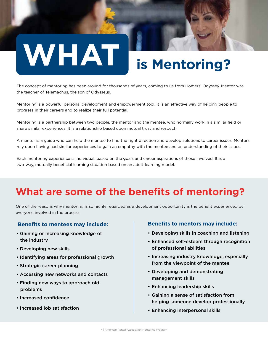# **WHAT is Mentoring?**

The concept of mentoring has been around for thousands of years, coming to us from Homers' Odyssey. Mentor was the teacher of Telemachus, the son of Odysseus.

Mentoring is a powerful personal development and empowerment tool. It is an effective way of helping people to progress in their careers and to realize their full potential.

Mentoring is a partnership between two people, the mentor and the mentee, who normally work in a similar field or share similar experiences. It is a relationship based upon mutual trust and respect.

A mentor is a guide who can help the mentee to find the right direction and develop solutions to career issues. Mentors rely upon having had similar experiences to gain an empathy with the mentee and an understanding of their issues.

Each mentoring experience is individual, based on the goals and career aspirations of those involved. It is a two-way, mutually beneficial learning situation based on an adult-learning model.

# **What are some of the benefits of mentoring?**

One of the reasons why mentoring is so highly regarded as a development opportunity is the benefit experienced by everyone involved in the process.

#### **Benefits to mentees may include:**

- Gaining or increasing knowledge of the industry
- Developing new skills
- Identifying areas for professional growth
- Strategic career planning
- Accessing new networks and contacts
- Finding new ways to approach old problems
- Increased confidence
- Increased job satisfaction

#### **Benefits to mentors may include:**

- Developing skills in coaching and listening
- Enhanced self-esteem through recognition of professional abilities
- Increasing industry knowledge, especially from the viewpoint of the mentee
- Developing and demonstrating management skills
- Enhancing leadership skills
- Gaining a sense of satisfaction from helping someone develop professionally
- Enhancing interpersonal skills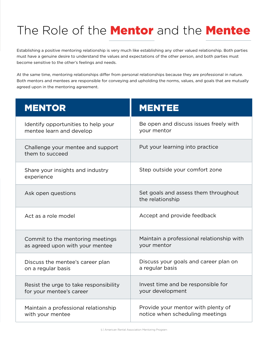# The Role of the **Mentor** and the **Mentee**

Establishing a positive mentoring relationship is very much like establishing any other valued relationship. Both parties must have a genuine desire to understand the values and expectations of the other person, and both parties must become sensitive to the other's feelings and needs.

At the same time, mentoring relationships differ from personal relationships because they are professional in nature. Both mentors and mentees are responsible for conveying and upholding the norms, values, and goals that are mutually agreed upon in the mentoring agreement.

| <b>MENTOR</b>                                        | <b>MENTEE</b>                                            |  |
|------------------------------------------------------|----------------------------------------------------------|--|
| Identify opportunities to help your                  | Be open and discuss issues freely with                   |  |
| mentee learn and develop                             | your mentor                                              |  |
| Challenge your mentee and support<br>them to succeed | Put your learning into practice                          |  |
| Share your insights and industry<br>experience       | Step outside your comfort zone                           |  |
| Ask open questions                                   | Set goals and assess them throughout<br>the relationship |  |
| Act as a role model                                  | Accept and provide feedback                              |  |
| Commit to the mentoring meetings                     | Maintain a professional relationship with                |  |
| as agreed upon with your mentee                      | your mentor                                              |  |
| Discuss the mentee's career plan                     | Discuss your goals and career plan on                    |  |
| on a regular basis                                   | a regular basis                                          |  |
| Resist the urge to take responsibility               | Invest time and be responsible for                       |  |
| for your mentee's career                             | your development                                         |  |
| Maintain a professional relationship                 | Provide your mentor with plenty of                       |  |
| with your mentee                                     | notice when scheduling meetings                          |  |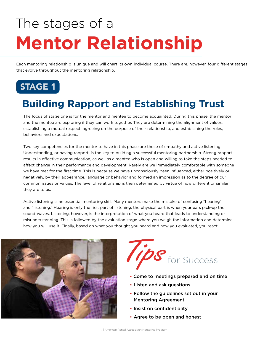# The stages of a **Mentor Relationship**

Each mentoring relationship is unique and will chart its own individual course. There are, however, four different stages that evolve throughout the mentoring relationship.



# **Building Rapport and Establishing Trust**

The focus of stage one is for the mentor and mentee to become acquainted. During this phase, the mentor and the mentee are exploring if they can work together. They are determining the alignment of values, establishing a mutual respect, agreeing on the purpose of their relationship, and establishing the roles, behaviors and expectations.

Two key competencies for the mentor to have in this phase are those of empathy and active listening. Understanding, or having rapport, is the key to building a successful mentoring partnership. Strong rapport results in effective communication, as well as a mentee who is open and willing to take the steps needed to affect change in their performance and development. Rarely are we immediately comfortable with someone we have met for the first time. This is because we have unconsciously been influenced, either positively or negatively, by their appearance, language or behavior and formed an impression as to the degree of our common issues or values. The level of relationship is then determined by virtue of how different or similar they are to us.

Active listening is an essential mentoring skill. Many mentors make the mistake of confusing "hearing" and "listening." Hearing is only the first part of listening, the physical part is when your ears pick-up the sound-waves. Listening, however, is the interpretation of what you heard that leads to understanding or misunderstanding. This is followed by the evaluation stage where you weigh the information and determine how you will use it. Finally, based on what you thought you heard and how you evaluated, you react.





- Come to meetings prepared and on time
- Listen and ask questions
- Follow the guidelines set out in your Mentoring Agreement
- Insist on confidentiality
- Agree to be open and honest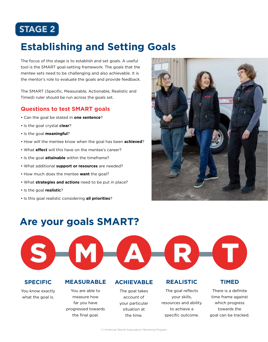### STAGE 2

## **Establishing and Setting Goals**

The focus of this stage is to establish and set goals. A useful tool is the SMART goal-setting framework. The goals that the mentee sets need to be challenging and also achievable. It is the mentor's role to evaluate the goals and provide feedback.

The SMART (Specific, Measurable, Actionable, Realistic and Timed) ruler should be run across the goals set.

#### **Questions to test SMART goals**

- Can the goal be stated in **one sentence**?
- Is the goal crystal **clear**?
- Is the goal **meaningful**?
- How will the mentee know when the goal has been **achieved**?
- What **effect** will this have on the mentee's career?
- Is the goal **attainable** within the timeframe?
- What additional **support or resources** are needed?
- How much does the mentee **want** the goal?
- What **strategies and actions** need to be put in place?
- Is the goal **realistic**?
- Is this goal realistic considering **all priorities**?



### **Are your goals SMART?**





#### **SPECIFIC**

You know exactly what the goal is.

#### **MEASURABLE ACHIEVABLE**

You are able to measure how far you have progressed towards the final goal.

The goal takes account of your particular situation at the time.

#### **REALISTIC**

The goal reflects your skills, resources and ability to achieve a specific outcome.

#### **TIMED**

There is a definite time frame against which progress towards the goal can be tracked.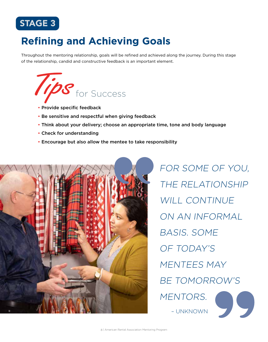### STAGE 3

# **Refining and Achieving Goals**

Throughout the mentoring relationship, goals will be refined and achieved along the journey. During this stage of the relationship, candid and constructive feedback is an important element.



- Provide specific feedback
- Be sensitive and respectful when giving feedback
- Think about your delivery; choose an appropriate time, tone and body language
- Check for understanding
- Encourage but also allow the mentee to take responsibility



FOR SOME OF YOU, THE RELATIONSHIP WILL CONTINUE ON AN INFORMAL BASIS. SOME OF TODAY'S MENTEES MAY BE TOMORROW'S MENTORS. – UNKNOWN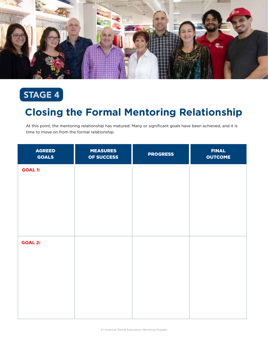

# STAGE 4

### **Closing the Formal Mentoring Relationship**

At this point, the mentoring relationship has matured. Many or significant goals have been achieved, and it is time to move on from the formal relationship.

| <b>AGREED</b><br><b>GOALS</b> | <b>MEASURES</b><br>OF SUCCESS | <b>PROGRESS</b> | <b>FINAL</b><br><b>OUTCOME</b> |
|-------------------------------|-------------------------------|-----------------|--------------------------------|
| <b>GOAL 1:</b>                |                               |                 |                                |
|                               |                               |                 |                                |
|                               |                               |                 |                                |
|                               |                               |                 |                                |
| <b>GOAL 2:</b>                |                               |                 |                                |
|                               |                               |                 |                                |
|                               |                               |                 |                                |
|                               |                               |                 |                                |
|                               |                               |                 |                                |